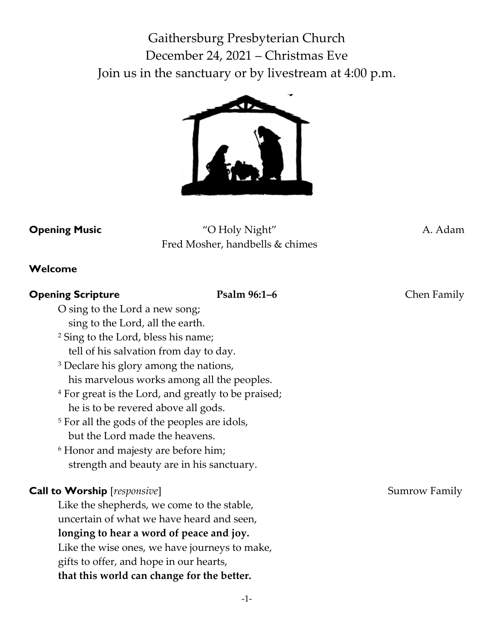Gaithersburg Presbyterian Church December 24, 2021 – Christmas Eve Join us in the sanctuary or by livestream at 4:00 p.m.



**Opening Music** "O Holy Night" A. Adam Fred Mosher, handbells & chimes

#### **Welcome**

# **Opening Scripture Psalm 96:1–6** Chen Family O sing to the Lord a new song; sing to the Lord, all the earth. <sup>2</sup> Sing to the Lord, bless his name; tell of his salvation from day to day. <sup>3</sup> Declare his glory among the nations, his marvelous works among all the peoples. <sup>4</sup> For great is the Lord, and greatly to be praised; he is to be revered above all gods. <sup>5</sup> For all the gods of the peoples are idols, but the Lord made the heavens. <sup>6</sup> Honor and majesty are before him; strength and beauty are in his sanctuary. **Call to Worship** [*responsive*] Sumrow Family Sumrow Family Like the shepherds, we come to the stable, uncertain of what we have heard and seen, **longing to hear a word of peace and joy.** Like the wise ones, we have journeys to make, gifts to offer, and hope in our hearts, **that this world can change for the better.**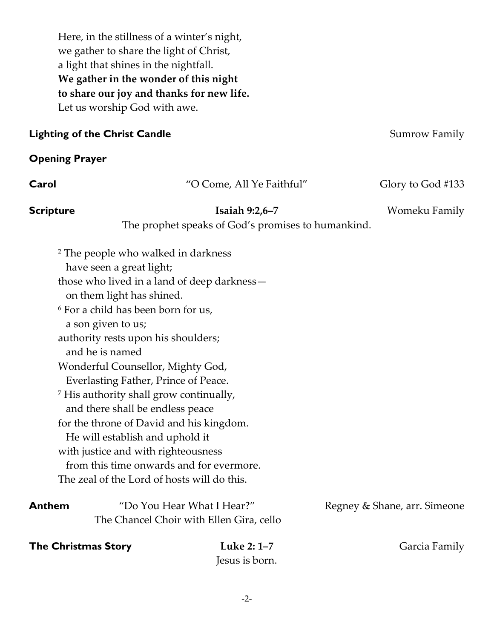Here, in the stillness of a winter's night, we gather to share the light of Christ, a light that shines in the nightfall. **We gather in the wonder of this night to share our joy and thanks for new life.** Let us worship God with awe.

#### **Lighting of the Christ Candle Summary** Summary Summary Summary Summary Summary Summary

#### **Opening Prayer**

| Carol                      | "O Come, All Ye Faithful"                                                                                                                                                                                                                                                                                                                                                                                                                                                                                                                                                                                                                                                        | Glory to God #133            |
|----------------------------|----------------------------------------------------------------------------------------------------------------------------------------------------------------------------------------------------------------------------------------------------------------------------------------------------------------------------------------------------------------------------------------------------------------------------------------------------------------------------------------------------------------------------------------------------------------------------------------------------------------------------------------------------------------------------------|------------------------------|
| <b>Scripture</b>           | Isaiah $9:2,6-7$<br>The prophet speaks of God's promises to humankind.                                                                                                                                                                                                                                                                                                                                                                                                                                                                                                                                                                                                           | Womeku Family                |
|                            | <sup>2</sup> The people who walked in darkness<br>have seen a great light;<br>those who lived in a land of deep darkness-<br>on them light has shined.<br><sup>6</sup> For a child has been born for us,<br>a son given to us;<br>authority rests upon his shoulders;<br>and he is named<br>Wonderful Counsellor, Mighty God,<br>Everlasting Father, Prince of Peace.<br><sup>7</sup> His authority shall grow continually,<br>and there shall be endless peace<br>for the throne of David and his kingdom.<br>He will establish and uphold it<br>with justice and with righteousness<br>from this time onwards and for evermore.<br>The zeal of the Lord of hosts will do this. |                              |
| <b>Anthem</b>              | "Do You Hear What I Hear?"<br>The Chancel Choir with Ellen Gira, cello                                                                                                                                                                                                                                                                                                                                                                                                                                                                                                                                                                                                           | Regney & Shane, arr. Simeone |
| <b>The Christmas Story</b> | Luke 2: 1-7<br>Jesus is born.                                                                                                                                                                                                                                                                                                                                                                                                                                                                                                                                                                                                                                                    | Garcia Family                |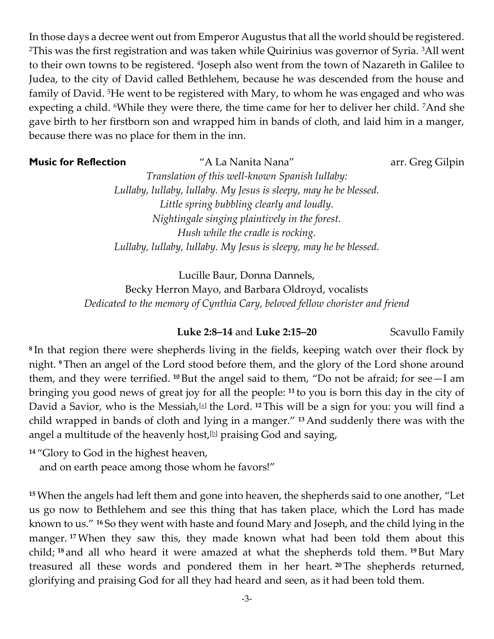In those days a decree went out from Emperor Augustus that all the world should be registered. <sup>2</sup>This was the first registration and was taken while Quirinius was governor of Syria. 3All went to their own towns to be registered. <sup>4</sup> Joseph also went from the town of Nazareth in Galilee to Judea, to the city of David called Bethlehem, because he was descended from the house and family of David. 5He went to be registered with Mary, to whom he was engaged and who was expecting a child. <sup>6</sup>While they were there, the time came for her to deliver her child. <sup>7</sup>And she gave birth to her firstborn son and wrapped him in bands of cloth, and laid him in a manger, because there was no place for them in the inn.

# **Music for Reflection** "A La Nanita Nana" arr. Greg Gilpin

*Translation of this well-known Spanish lullaby: Lullaby, lullaby, lullaby. My Jesus is sleepy, may he be blessed. Little spring bubbling clearly and loudly. Nightingale singing plaintively in the forest. Hush while the cradle is rocking. Lullaby, lullaby, lullaby. My Jesus is sleepy, may he be blessed.*

Lucille Baur, Donna Dannels, Becky Herron Mayo, and Barbara Oldroyd, vocalists *Dedicated to the memory of Cynthia Cary, beloved fellow chorister and friend*

#### **Luke 2:8–14** and **Luke 2:15–20** Scavullo Family

**8** In that region there were shepherds living in the fields, keeping watch over their flock by night. **<sup>9</sup>** Then an angel of the Lord stood before them, and the glory of the Lord shone around them, and they were terrified. **<sup>10</sup>** But the angel said to them, "Do not be afraid; for see—I am bringing you good news of great joy for all the people: **<sup>11</sup>** to you is born this day in the city of David a Savior, who is the Messiah,@ the Lord. <sup>12</sup> This will be a sign for you: you will find a child wrapped in bands of cloth and lying in a manger." **<sup>13</sup>** And suddenly there was with the angel a multitude of the heavenly host,  $[b]$  praising God and saying,

**<sup>14</sup>** "Glory to God in the highest heaven,

and on earth peace among those whom he favors!"

**<sup>15</sup>**When the angels had left them and gone into heaven, the shepherds said to one another, "Let us go now to Bethlehem and see this thing that has taken place, which the Lord has made known to us." **<sup>16</sup>** So they went with haste and found Mary and Joseph, and the child lying in the manger. <sup>17</sup>When they saw this, they made known what had been told them about this child; **<sup>18</sup>** and all who heard it were amazed at what the shepherds told them. **<sup>19</sup>** But Mary treasured all these words and pondered them in her heart. **<sup>20</sup>** The shepherds returned, glorifying and praising God for all they had heard and seen, as it had been told them.